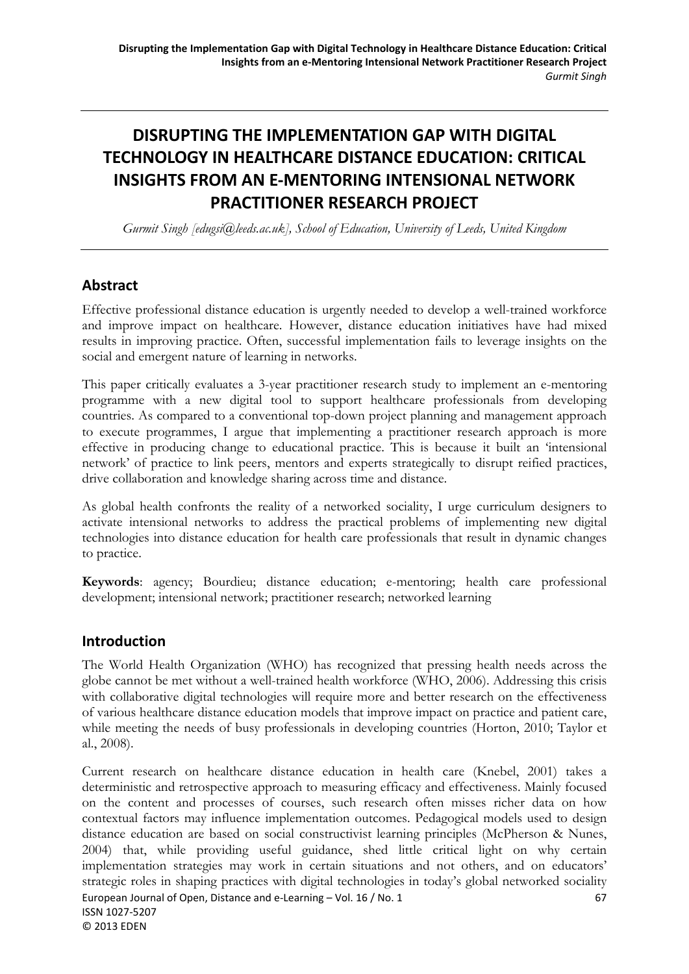# **DISRUPTING THE IMPLEMENTATION GAP WITH DIGITAL TECHNOLOGY IN HEALTHCARE DISTANCE EDUCATION: CRITICAL INSIGHTS FROM AN E‐MENTORING INTENSIONAL NETWORK PRACTITIONER RESEARCH PROJECT**

*Gurmit Singh [edugsi@leeds.ac.uk], School of Education, University of Leeds, United Kingdom* 

### **Abstract**

Effective professional distance education is urgently needed to develop a well-trained workforce and improve impact on healthcare. However, distance education initiatives have had mixed results in improving practice. Often, successful implementation fails to leverage insights on the social and emergent nature of learning in networks.

This paper critically evaluates a 3-year practitioner research study to implement an e-mentoring programme with a new digital tool to support healthcare professionals from developing countries. As compared to a conventional top-down project planning and management approach to execute programmes, I argue that implementing a practitioner research approach is more effective in producing change to educational practice. This is because it built an 'intensional network' of practice to link peers, mentors and experts strategically to disrupt reified practices, drive collaboration and knowledge sharing across time and distance.

As global health confronts the reality of a networked sociality, I urge curriculum designers to activate intensional networks to address the practical problems of implementing new digital technologies into distance education for health care professionals that result in dynamic changes to practice.

**Keywords**: agency; Bourdieu; distance education; e-mentoring; health care professional development; intensional network; practitioner research; networked learning

### **Introduction**

The World Health Organization (WHO) has recognized that pressing health needs across the globe cannot be met without a well-trained health workforce (WHO, 2006). Addressing this crisis with collaborative digital technologies will require more and better research on the effectiveness of various healthcare distance education models that improve impact on practice and patient care, while meeting the needs of busy professionals in developing countries (Horton, 2010; Taylor et al., 2008).

Current research on healthcare distance education in health care (Knebel, 2001) takes a deterministic and retrospective approach to measuring efficacy and effectiveness. Mainly focused on the content and processes of courses, such research often misses richer data on how contextual factors may influence implementation outcomes. Pedagogical models used to design distance education are based on social constructivist learning principles (McPherson & Nunes, 2004) that, while providing useful guidance, shed little critical light on why certain implementation strategies may work in certain situations and not others, and on educators' strategic roles in shaping practices with digital technologies in today's global networked sociality European Journal of Open, Distance and e-Learning – Vol. 16 / No. 1 67 ISSN 1027‐5207 © 2013 EDEN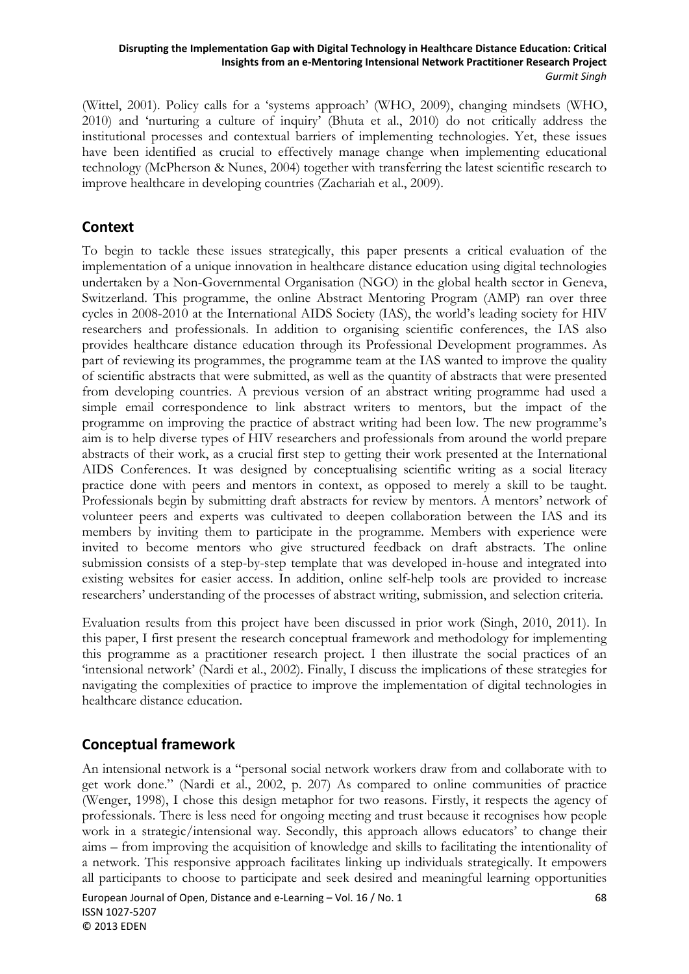(Wittel, 2001). Policy calls for a 'systems approach' (WHO, 2009), changing mindsets (WHO, 2010) and 'nurturing a culture of inquiry' (Bhuta et al., 2010) do not critically address the institutional processes and contextual barriers of implementing technologies. Yet, these issues have been identified as crucial to effectively manage change when implementing educational technology (McPherson & Nunes, 2004) together with transferring the latest scientific research to improve healthcare in developing countries (Zachariah et al., 2009).

## **Context**

To begin to tackle these issues strategically, this paper presents a critical evaluation of the implementation of a unique innovation in healthcare distance education using digital technologies undertaken by a Non-Governmental Organisation (NGO) in the global health sector in Geneva, Switzerland. This programme, the online Abstract Mentoring Program (AMP) ran over three cycles in 2008-2010 at the International AIDS Society (IAS), the world's leading society for HIV researchers and professionals. In addition to organising scientific conferences, the IAS also provides healthcare distance education through its Professional Development programmes. As part of reviewing its programmes, the programme team at the IAS wanted to improve the quality of scientific abstracts that were submitted, as well as the quantity of abstracts that were presented from developing countries. A previous version of an abstract writing programme had used a simple email correspondence to link abstract writers to mentors, but the impact of the programme on improving the practice of abstract writing had been low. The new programme's aim is to help diverse types of HIV researchers and professionals from around the world prepare abstracts of their work, as a crucial first step to getting their work presented at the International AIDS Conferences. It was designed by conceptualising scientific writing as a social literacy practice done with peers and mentors in context, as opposed to merely a skill to be taught. Professionals begin by submitting draft abstracts for review by mentors. A mentors' network of volunteer peers and experts was cultivated to deepen collaboration between the IAS and its members by inviting them to participate in the programme. Members with experience were invited to become mentors who give structured feedback on draft abstracts. The online submission consists of a step-by-step template that was developed in-house and integrated into existing websites for easier access. In addition, online self-help tools are provided to increase researchers' understanding of the processes of abstract writing, submission, and selection criteria.

Evaluation results from this project have been discussed in prior work (Singh, 2010, 2011). In this paper, I first present the research conceptual framework and methodology for implementing this programme as a practitioner research project. I then illustrate the social practices of an 'intensional network' (Nardi et al., 2002). Finally, I discuss the implications of these strategies for navigating the complexities of practice to improve the implementation of digital technologies in healthcare distance education.

## **Conceptual framework**

An intensional network is a "personal social network workers draw from and collaborate with to get work done." (Nardi et al., 2002, p. 207) As compared to online communities of practice (Wenger, 1998), I chose this design metaphor for two reasons. Firstly, it respects the agency of professionals. There is less need for ongoing meeting and trust because it recognises how people work in a strategic/intensional way. Secondly, this approach allows educators' to change their aims – from improving the acquisition of knowledge and skills to facilitating the intentionality of a network. This responsive approach facilitates linking up individuals strategically. It empowers all participants to choose to participate and seek desired and meaningful learning opportunities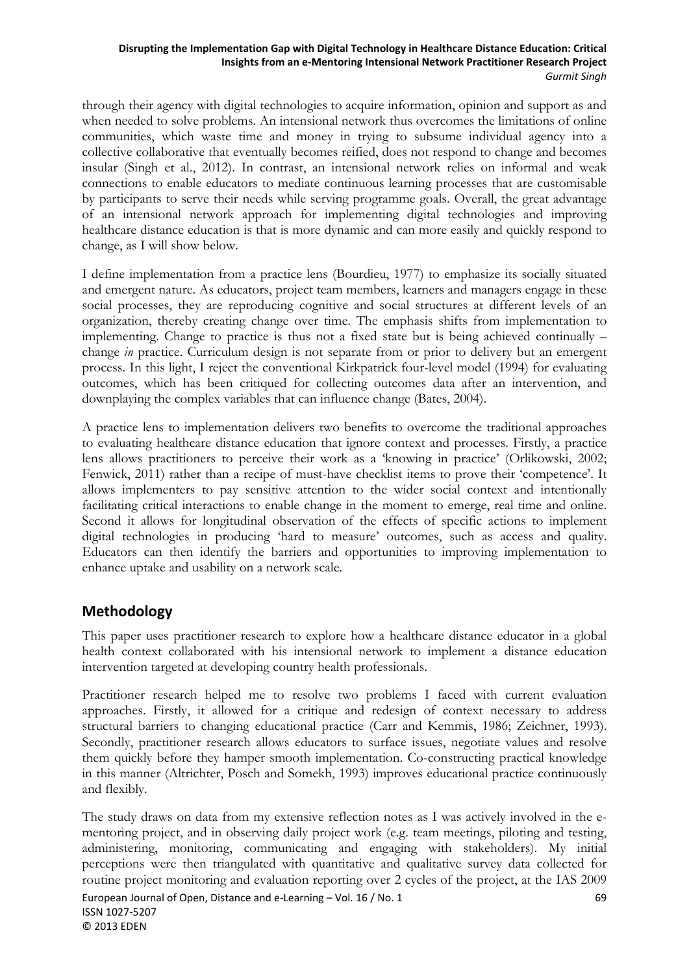through their agency with digital technologies to acquire information, opinion and support as and when needed to solve problems. An intensional network thus overcomes the limitations of online communities, which waste time and money in trying to subsume individual agency into a collective collaborative that eventually becomes reified, does not respond to change and becomes insular (Singh et al., 2012). In contrast, an intensional network relies on informal and weak connections to enable educators to mediate continuous learning processes that are customisable by participants to serve their needs while serving programme goals. Overall, the great advantage of an intensional network approach for implementing digital technologies and improving healthcare distance education is that is more dynamic and can more easily and quickly respond to change, as I will show below.

I define implementation from a practice lens (Bourdieu, 1977) to emphasize its socially situated and emergent nature. As educators, project team members, learners and managers engage in these social processes, they are reproducing cognitive and social structures at different levels of an organization, thereby creating change over time. The emphasis shifts from implementation to implementing. Change to practice is thus not a fixed state but is being achieved continually – change *in* practice. Curriculum design is not separate from or prior to delivery but an emergent process. In this light, I reject the conventional Kirkpatrick four-level model (1994) for evaluating outcomes, which has been critiqued for collecting outcomes data after an intervention, and downplaying the complex variables that can influence change (Bates, 2004).

A practice lens to implementation delivers two benefits to overcome the traditional approaches to evaluating healthcare distance education that ignore context and processes. Firstly, a practice lens allows practitioners to perceive their work as a 'knowing in practice' (Orlikowski, 2002; Fenwick, 2011) rather than a recipe of must-have checklist items to prove their 'competence'. It allows implementers to pay sensitive attention to the wider social context and intentionally facilitating critical interactions to enable change in the moment to emerge, real time and online. Second it allows for longitudinal observation of the effects of specific actions to implement digital technologies in producing 'hard to measure' outcomes, such as access and quality. Educators can then identify the barriers and opportunities to improving implementation to enhance uptake and usability on a network scale.

## **Methodology**

This paper uses practitioner research to explore how a healthcare distance educator in a global health context collaborated with his intensional network to implement a distance education intervention targeted at developing country health professionals.

Practitioner research helped me to resolve two problems I faced with current evaluation approaches. Firstly, it allowed for a critique and redesign of context necessary to address structural barriers to changing educational practice (Carr and Kemmis, 1986; Zeichner, 1993). Secondly, practitioner research allows educators to surface issues, negotiate values and resolve them quickly before they hamper smooth implementation. Co-constructing practical knowledge in this manner (Altrichter, Posch and Somekh, 1993) improves educational practice continuously and flexibly.

The study draws on data from my extensive reflection notes as I was actively involved in the ementoring project, and in observing daily project work (e.g. team meetings, piloting and testing, administering, monitoring, communicating and engaging with stakeholders). My initial perceptions were then triangulated with quantitative and qualitative survey data collected for routine project monitoring and evaluation reporting over 2 cycles of the project, at the IAS 2009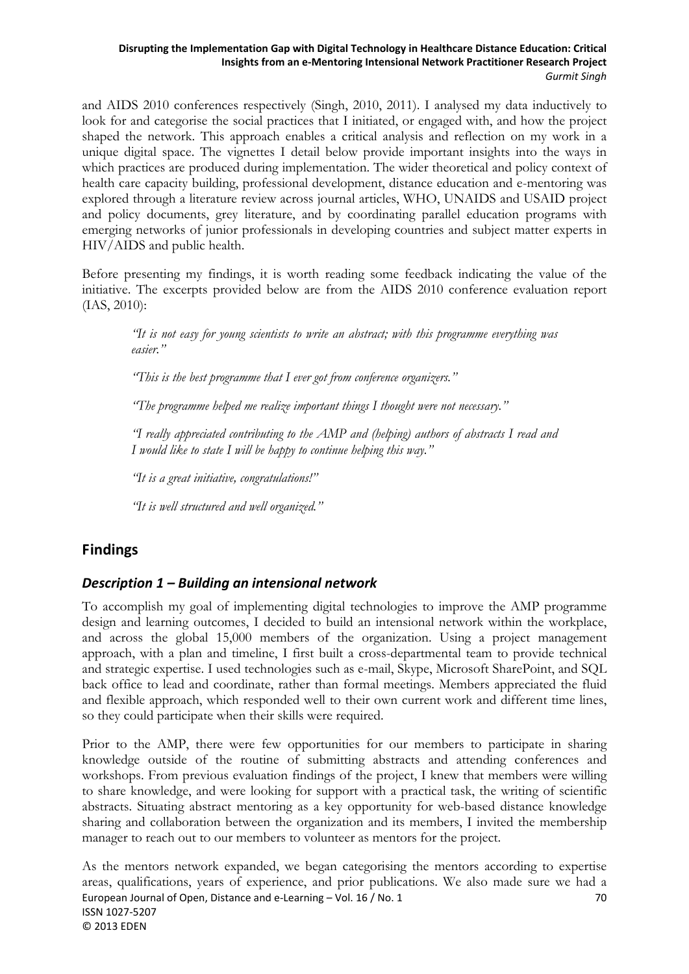and AIDS 2010 conferences respectively (Singh, 2010, 2011). I analysed my data inductively to look for and categorise the social practices that I initiated, or engaged with, and how the project shaped the network. This approach enables a critical analysis and reflection on my work in a unique digital space. The vignettes I detail below provide important insights into the ways in which practices are produced during implementation. The wider theoretical and policy context of health care capacity building, professional development, distance education and e-mentoring was explored through a literature review across journal articles, WHO, UNAIDS and USAID project and policy documents, grey literature, and by coordinating parallel education programs with emerging networks of junior professionals in developing countries and subject matter experts in HIV/AIDS and public health.

Before presenting my findings, it is worth reading some feedback indicating the value of the initiative. The excerpts provided below are from the AIDS 2010 conference evaluation report (IAS, 2010):

*"It is not easy for young scientists to write an abstract; with this programme everything was easier."* 

*"This is the best programme that I ever got from conference organizers."* 

*"The programme helped me realize important things I thought were not necessary."* 

*"I really appreciated contributing to the AMP and (helping) authors of abstracts I read and I would like to state I will be happy to continue helping this way."* 

*"It is a great initiative, congratulations!"* 

*"It is well structured and well organized."* 

### **Findings**

### *Description 1 – Building an intensional network*

To accomplish my goal of implementing digital technologies to improve the AMP programme design and learning outcomes, I decided to build an intensional network within the workplace, and across the global 15,000 members of the organization. Using a project management approach, with a plan and timeline, I first built a cross-departmental team to provide technical and strategic expertise. I used technologies such as e-mail, Skype, Microsoft SharePoint, and SQL back office to lead and coordinate, rather than formal meetings. Members appreciated the fluid and flexible approach, which responded well to their own current work and different time lines, so they could participate when their skills were required.

Prior to the AMP, there were few opportunities for our members to participate in sharing knowledge outside of the routine of submitting abstracts and attending conferences and workshops. From previous evaluation findings of the project, I knew that members were willing to share knowledge, and were looking for support with a practical task, the writing of scientific abstracts. Situating abstract mentoring as a key opportunity for web-based distance knowledge sharing and collaboration between the organization and its members, I invited the membership manager to reach out to our members to volunteer as mentors for the project.

As the mentors network expanded, we began categorising the mentors according to expertise areas, qualifications, years of experience, and prior publications. We also made sure we had a European Journal of Open, Distance and e-Learning – Vol. 16 / No. 1 70 ISSN 1027‐5207 © 2013 EDEN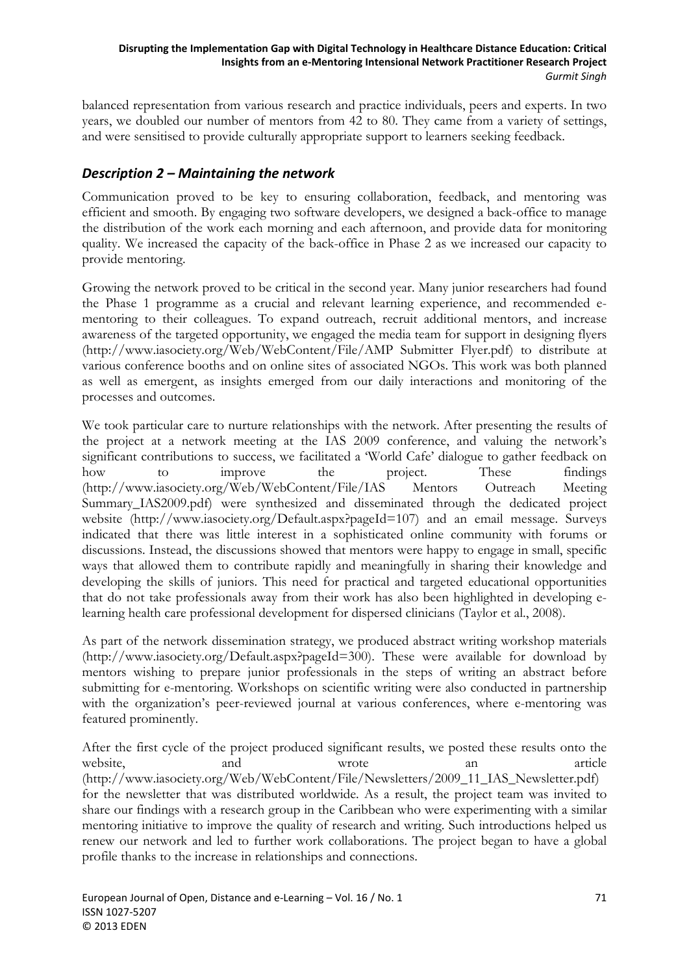balanced representation from various research and practice individuals, peers and experts. In two years, we doubled our number of mentors from 42 to 80. They came from a variety of settings, and were sensitised to provide culturally appropriate support to learners seeking feedback.

### *Description 2 – Maintaining the network*

Communication proved to be key to ensuring collaboration, feedback, and mentoring was efficient and smooth. By engaging two software developers, we designed a back-office to manage the distribution of the work each morning and each afternoon, and provide data for monitoring quality. We increased the capacity of the back-office in Phase 2 as we increased our capacity to provide mentoring.

Growing the network proved to be critical in the second year. Many junior researchers had found the Phase 1 programme as a crucial and relevant learning experience, and recommended ementoring to their colleagues. To expand outreach, recruit additional mentors, and increase awareness of the targeted opportunity, we engaged the media team for support in designing flyers (http://www.iasociety.org/Web/WebContent/File/AMP Submitter Flyer.pdf) to distribute at various conference booths and on online sites of associated NGOs. This work was both planned as well as emergent, as insights emerged from our daily interactions and monitoring of the processes and outcomes.

We took particular care to nurture relationships with the network. After presenting the results of the project at a network meeting at the IAS 2009 conference, and valuing the network's significant contributions to success, we facilitated a 'World Cafe' dialogue to gather feedback on how to improve the project. These findings (http://www.iasociety.org/Web/WebContent/File/IAS Mentors Outreach Meeting Summary\_IAS2009.pdf) were synthesized and disseminated through the dedicated project website (http://www.iasociety.org/Default.aspx?pageId=107) and an email message. Surveys indicated that there was little interest in a sophisticated online community with forums or discussions. Instead, the discussions showed that mentors were happy to engage in small, specific ways that allowed them to contribute rapidly and meaningfully in sharing their knowledge and developing the skills of juniors. This need for practical and targeted educational opportunities that do not take professionals away from their work has also been highlighted in developing elearning health care professional development for dispersed clinicians (Taylor et al., 2008).

As part of the network dissemination strategy, we produced abstract writing workshop materials (http://www.iasociety.org/Default.aspx?pageId=300). These were available for download by mentors wishing to prepare junior professionals in the steps of writing an abstract before submitting for e-mentoring. Workshops on scientific writing were also conducted in partnership with the organization's peer-reviewed journal at various conferences, where e-mentoring was featured prominently.

After the first cycle of the project produced significant results, we posted these results onto the website, and and wrote an article an article (http://www.iasociety.org/Web/WebContent/File/Newsletters/2009\_11\_IAS\_Newsletter.pdf) for the newsletter that was distributed worldwide. As a result, the project team was invited to share our findings with a research group in the Caribbean who were experimenting with a similar mentoring initiative to improve the quality of research and writing. Such introductions helped us renew our network and led to further work collaborations. The project began to have a global profile thanks to the increase in relationships and connections.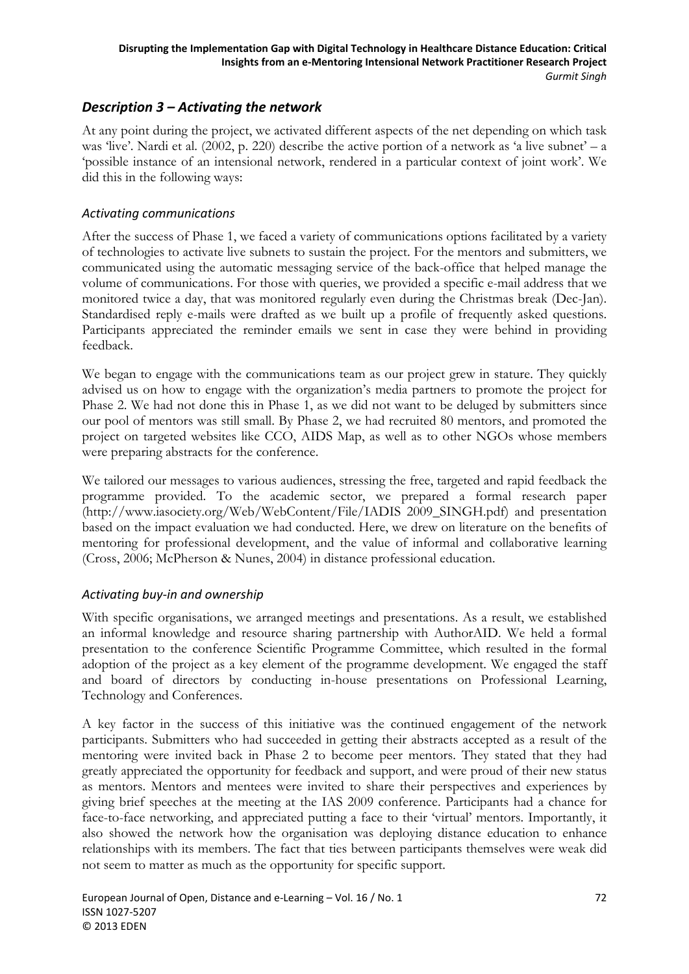### *Description 3 – Activating the network*

At any point during the project, we activated different aspects of the net depending on which task was 'live'. Nardi et al. (2002, p. 220) describe the active portion of a network as 'a live subnet' – a 'possible instance of an intensional network, rendered in a particular context of joint work'. We did this in the following ways:

#### *Activating communications*

After the success of Phase 1, we faced a variety of communications options facilitated by a variety of technologies to activate live subnets to sustain the project. For the mentors and submitters, we communicated using the automatic messaging service of the back-office that helped manage the volume of communications. For those with queries, we provided a specific e-mail address that we monitored twice a day, that was monitored regularly even during the Christmas break (Dec-Jan). Standardised reply e-mails were drafted as we built up a profile of frequently asked questions. Participants appreciated the reminder emails we sent in case they were behind in providing feedback.

We began to engage with the communications team as our project grew in stature. They quickly advised us on how to engage with the organization's media partners to promote the project for Phase 2. We had not done this in Phase 1, as we did not want to be deluged by submitters since our pool of mentors was still small. By Phase 2, we had recruited 80 mentors, and promoted the project on targeted websites like CCO, AIDS Map, as well as to other NGOs whose members were preparing abstracts for the conference.

We tailored our messages to various audiences, stressing the free, targeted and rapid feedback the programme provided. To the academic sector, we prepared a formal research paper (http://www.iasociety.org/Web/WebContent/File/IADIS 2009\_SINGH.pdf) and presentation based on the impact evaluation we had conducted. Here, we drew on literature on the benefits of mentoring for professional development, and the value of informal and collaborative learning (Cross, 2006; McPherson & Nunes, 2004) in distance professional education.

### *Activating buy‐in and ownership*

With specific organisations, we arranged meetings and presentations. As a result, we established an informal knowledge and resource sharing partnership with AuthorAID. We held a formal presentation to the conference Scientific Programme Committee, which resulted in the formal adoption of the project as a key element of the programme development. We engaged the staff and board of directors by conducting in-house presentations on Professional Learning, Technology and Conferences.

A key factor in the success of this initiative was the continued engagement of the network participants. Submitters who had succeeded in getting their abstracts accepted as a result of the mentoring were invited back in Phase 2 to become peer mentors. They stated that they had greatly appreciated the opportunity for feedback and support, and were proud of their new status as mentors. Mentors and mentees were invited to share their perspectives and experiences by giving brief speeches at the meeting at the IAS 2009 conference. Participants had a chance for face-to-face networking, and appreciated putting a face to their 'virtual' mentors. Importantly, it also showed the network how the organisation was deploying distance education to enhance relationships with its members. The fact that ties between participants themselves were weak did not seem to matter as much as the opportunity for specific support.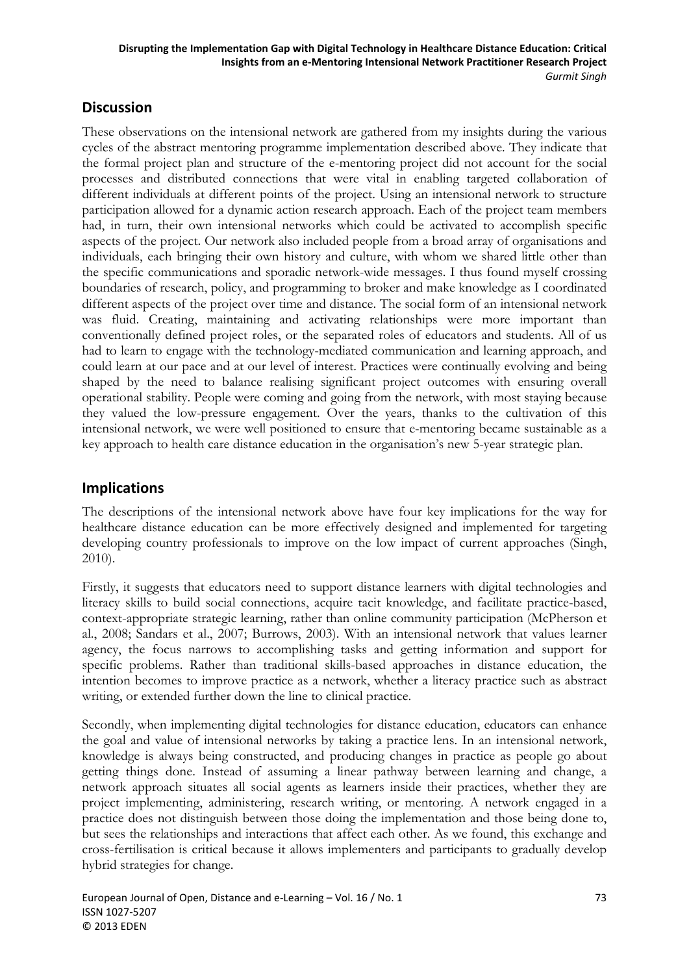## **Discussion**

These observations on the intensional network are gathered from my insights during the various cycles of the abstract mentoring programme implementation described above. They indicate that the formal project plan and structure of the e-mentoring project did not account for the social processes and distributed connections that were vital in enabling targeted collaboration of different individuals at different points of the project. Using an intensional network to structure participation allowed for a dynamic action research approach. Each of the project team members had, in turn, their own intensional networks which could be activated to accomplish specific aspects of the project. Our network also included people from a broad array of organisations and individuals, each bringing their own history and culture, with whom we shared little other than the specific communications and sporadic network-wide messages. I thus found myself crossing boundaries of research, policy, and programming to broker and make knowledge as I coordinated different aspects of the project over time and distance. The social form of an intensional network was fluid. Creating, maintaining and activating relationships were more important than conventionally defined project roles, or the separated roles of educators and students. All of us had to learn to engage with the technology-mediated communication and learning approach, and could learn at our pace and at our level of interest. Practices were continually evolving and being shaped by the need to balance realising significant project outcomes with ensuring overall operational stability. People were coming and going from the network, with most staying because they valued the low-pressure engagement. Over the years, thanks to the cultivation of this intensional network, we were well positioned to ensure that e-mentoring became sustainable as a key approach to health care distance education in the organisation's new 5-year strategic plan.

### **Implications**

The descriptions of the intensional network above have four key implications for the way for healthcare distance education can be more effectively designed and implemented for targeting developing country professionals to improve on the low impact of current approaches (Singh, 2010).

Firstly, it suggests that educators need to support distance learners with digital technologies and literacy skills to build social connections, acquire tacit knowledge, and facilitate practice-based, context-appropriate strategic learning, rather than online community participation (McPherson et al., 2008; Sandars et al., 2007; Burrows, 2003). With an intensional network that values learner agency, the focus narrows to accomplishing tasks and getting information and support for specific problems. Rather than traditional skills-based approaches in distance education, the intention becomes to improve practice as a network, whether a literacy practice such as abstract writing, or extended further down the line to clinical practice.

Secondly, when implementing digital technologies for distance education, educators can enhance the goal and value of intensional networks by taking a practice lens. In an intensional network, knowledge is always being constructed, and producing changes in practice as people go about getting things done. Instead of assuming a linear pathway between learning and change, a network approach situates all social agents as learners inside their practices, whether they are project implementing, administering, research writing, or mentoring. A network engaged in a practice does not distinguish between those doing the implementation and those being done to, but sees the relationships and interactions that affect each other. As we found, this exchange and cross-fertilisation is critical because it allows implementers and participants to gradually develop hybrid strategies for change.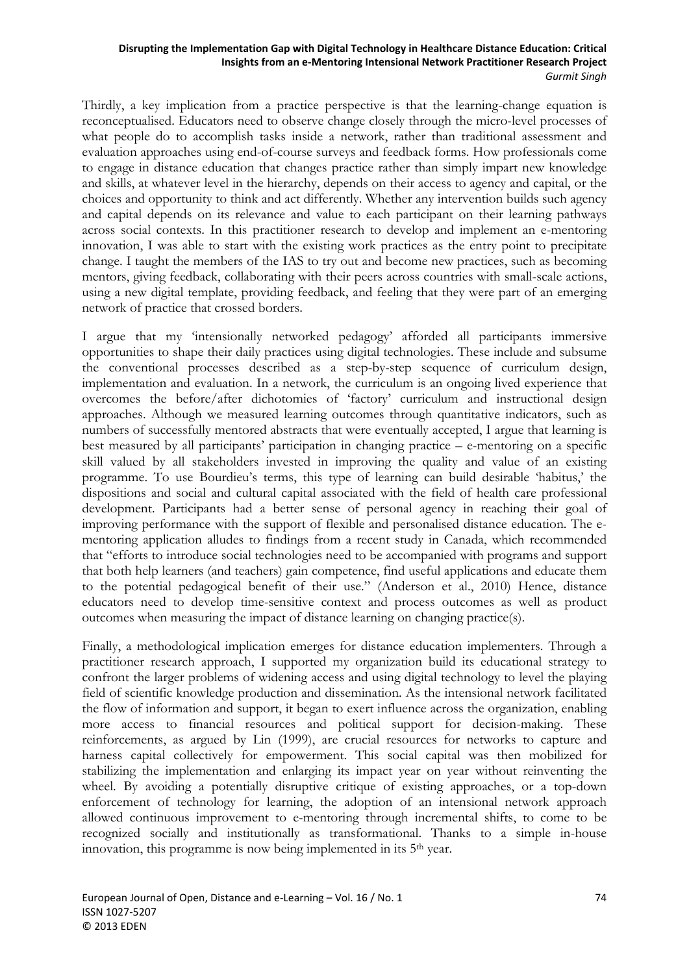Thirdly, a key implication from a practice perspective is that the learning-change equation is reconceptualised. Educators need to observe change closely through the micro-level processes of what people do to accomplish tasks inside a network, rather than traditional assessment and evaluation approaches using end-of-course surveys and feedback forms. How professionals come to engage in distance education that changes practice rather than simply impart new knowledge and skills, at whatever level in the hierarchy, depends on their access to agency and capital, or the choices and opportunity to think and act differently. Whether any intervention builds such agency and capital depends on its relevance and value to each participant on their learning pathways across social contexts. In this practitioner research to develop and implement an e-mentoring innovation, I was able to start with the existing work practices as the entry point to precipitate change. I taught the members of the IAS to try out and become new practices, such as becoming mentors, giving feedback, collaborating with their peers across countries with small-scale actions, using a new digital template, providing feedback, and feeling that they were part of an emerging network of practice that crossed borders.

I argue that my 'intensionally networked pedagogy' afforded all participants immersive opportunities to shape their daily practices using digital technologies. These include and subsume the conventional processes described as a step-by-step sequence of curriculum design, implementation and evaluation. In a network, the curriculum is an ongoing lived experience that overcomes the before/after dichotomies of 'factory' curriculum and instructional design approaches. Although we measured learning outcomes through quantitative indicators, such as numbers of successfully mentored abstracts that were eventually accepted, I argue that learning is best measured by all participants' participation in changing practice – e-mentoring on a specific skill valued by all stakeholders invested in improving the quality and value of an existing programme. To use Bourdieu's terms, this type of learning can build desirable 'habitus,' the dispositions and social and cultural capital associated with the field of health care professional development. Participants had a better sense of personal agency in reaching their goal of improving performance with the support of flexible and personalised distance education. The ementoring application alludes to findings from a recent study in Canada, which recommended that "efforts to introduce social technologies need to be accompanied with programs and support that both help learners (and teachers) gain competence, find useful applications and educate them to the potential pedagogical benefit of their use." (Anderson et al., 2010) Hence, distance educators need to develop time-sensitive context and process outcomes as well as product outcomes when measuring the impact of distance learning on changing practice(s).

Finally, a methodological implication emerges for distance education implementers. Through a practitioner research approach, I supported my organization build its educational strategy to confront the larger problems of widening access and using digital technology to level the playing field of scientific knowledge production and dissemination. As the intensional network facilitated the flow of information and support, it began to exert influence across the organization, enabling more access to financial resources and political support for decision-making. These reinforcements, as argued by Lin (1999), are crucial resources for networks to capture and harness capital collectively for empowerment. This social capital was then mobilized for stabilizing the implementation and enlarging its impact year on year without reinventing the wheel. By avoiding a potentially disruptive critique of existing approaches, or a top-down enforcement of technology for learning, the adoption of an intensional network approach allowed continuous improvement to e-mentoring through incremental shifts, to come to be recognized socially and institutionally as transformational. Thanks to a simple in-house innovation, this programme is now being implemented in its 5<sup>th</sup> year.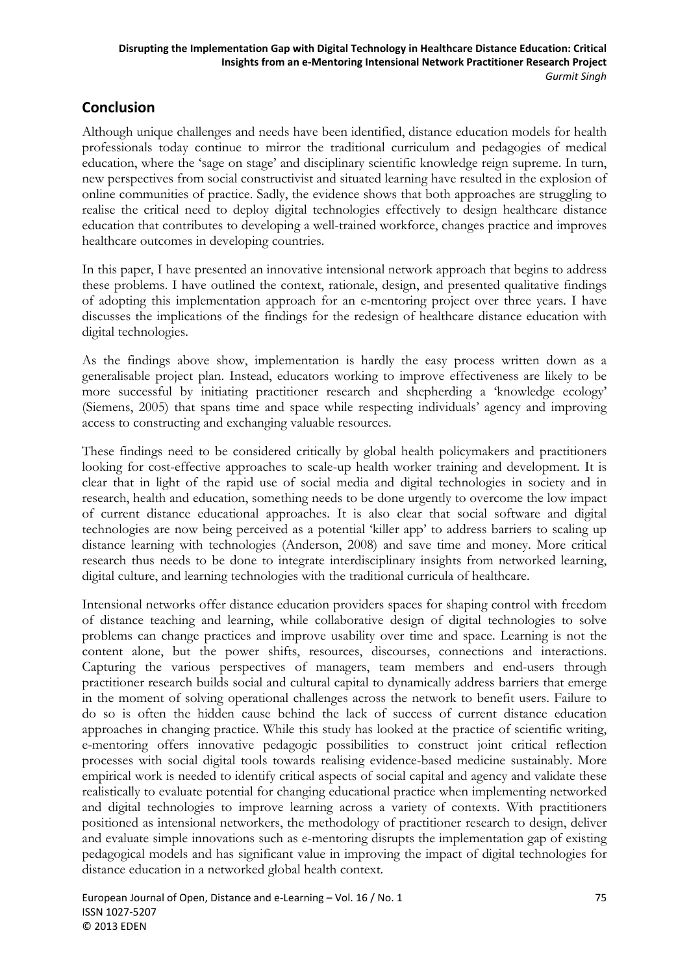## **Conclusion**

Although unique challenges and needs have been identified, distance education models for health professionals today continue to mirror the traditional curriculum and pedagogies of medical education, where the 'sage on stage' and disciplinary scientific knowledge reign supreme. In turn, new perspectives from social constructivist and situated learning have resulted in the explosion of online communities of practice. Sadly, the evidence shows that both approaches are struggling to realise the critical need to deploy digital technologies effectively to design healthcare distance education that contributes to developing a well-trained workforce, changes practice and improves healthcare outcomes in developing countries.

In this paper, I have presented an innovative intensional network approach that begins to address these problems. I have outlined the context, rationale, design, and presented qualitative findings of adopting this implementation approach for an e-mentoring project over three years. I have discusses the implications of the findings for the redesign of healthcare distance education with digital technologies.

As the findings above show, implementation is hardly the easy process written down as a generalisable project plan. Instead, educators working to improve effectiveness are likely to be more successful by initiating practitioner research and shepherding a 'knowledge ecology' (Siemens, 2005) that spans time and space while respecting individuals' agency and improving access to constructing and exchanging valuable resources.

These findings need to be considered critically by global health policymakers and practitioners looking for cost-effective approaches to scale-up health worker training and development. It is clear that in light of the rapid use of social media and digital technologies in society and in research, health and education, something needs to be done urgently to overcome the low impact of current distance educational approaches. It is also clear that social software and digital technologies are now being perceived as a potential 'killer app' to address barriers to scaling up distance learning with technologies (Anderson, 2008) and save time and money. More critical research thus needs to be done to integrate interdisciplinary insights from networked learning, digital culture, and learning technologies with the traditional curricula of healthcare.

Intensional networks offer distance education providers spaces for shaping control with freedom of distance teaching and learning, while collaborative design of digital technologies to solve problems can change practices and improve usability over time and space. Learning is not the content alone, but the power shifts, resources, discourses, connections and interactions. Capturing the various perspectives of managers, team members and end-users through practitioner research builds social and cultural capital to dynamically address barriers that emerge in the moment of solving operational challenges across the network to benefit users. Failure to do so is often the hidden cause behind the lack of success of current distance education approaches in changing practice. While this study has looked at the practice of scientific writing, e-mentoring offers innovative pedagogic possibilities to construct joint critical reflection processes with social digital tools towards realising evidence-based medicine sustainably. More empirical work is needed to identify critical aspects of social capital and agency and validate these realistically to evaluate potential for changing educational practice when implementing networked and digital technologies to improve learning across a variety of contexts. With practitioners positioned as intensional networkers, the methodology of practitioner research to design, deliver and evaluate simple innovations such as e-mentoring disrupts the implementation gap of existing pedagogical models and has significant value in improving the impact of digital technologies for distance education in a networked global health context.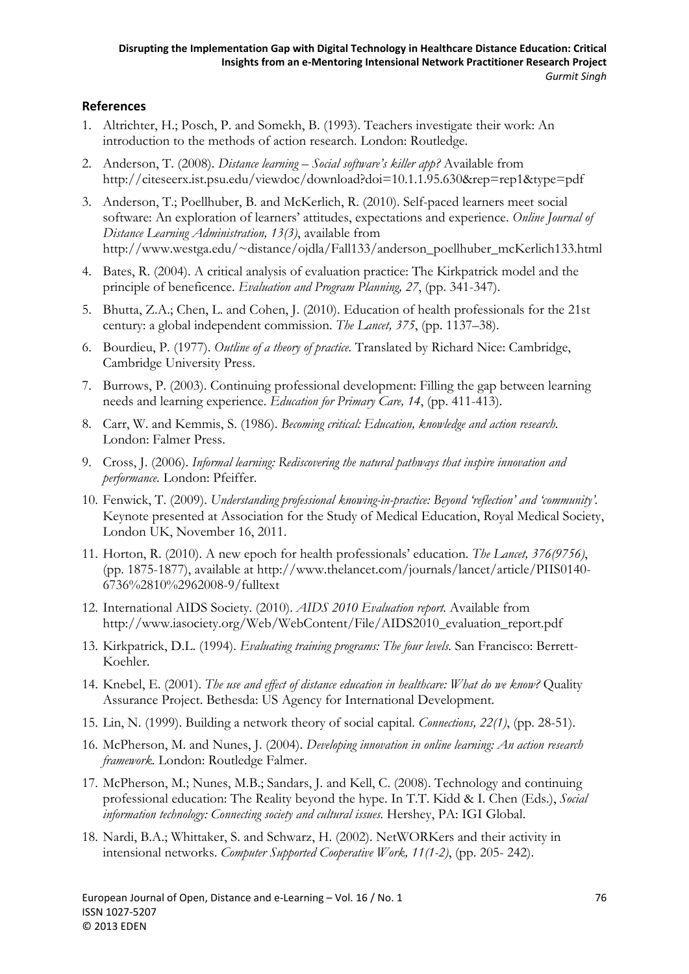### **References**

- 1. Altrichter, H.; Posch, P. and Somekh, B. (1993). Teachers investigate their work: An introduction to the methods of action research. London: Routledge.
- 2. Anderson, T. (2008). *Distance learning Social software's killer app?* Available from http://citeseerx.ist.psu.edu/viewdoc/download?doi=10.1.1.95.630&rep=rep1&type=pdf
- 3. Anderson, T.; Poellhuber, B. and McKerlich, R. (2010). Self-paced learners meet social software: An exploration of learners' attitudes, expectations and experience. *Online Journal of Distance Learning Administration, 13(3)*, available from http://www.westga.edu/~distance/ojdla/Fall133/anderson\_poellhuber\_mcKerlich133.html
- 4. Bates, R. (2004). A critical analysis of evaluation practice: The Kirkpatrick model and the principle of beneficence. *Evaluation and Program Planning, 27*, (pp. 341-347).
- 5. Bhutta, Z.A.; Chen, L. and Cohen, J. (2010). Education of health professionals for the 21st century: a global independent commission. *The Lancet, 375*, (pp. 1137–38).
- 6. Bourdieu, P. (1977). *Outline of a theory of practice.* Translated by Richard Nice: Cambridge, Cambridge University Press.
- 7. Burrows, P. (2003). Continuing professional development: Filling the gap between learning needs and learning experience. *Education for Primary Care, 14*, (pp. 411-413).
- 8. Carr, W. and Kemmis, S. (1986). *Becoming critical: Education, knowledge and action research.* London: Falmer Press.
- 9. Cross, J. (2006). *Informal learning: Rediscovering the natural pathways that inspire innovation and performance.* London: Pfeiffer.
- 10. Fenwick, T. (2009). *Understanding professional knowing-in-practice: Beyond 'reflection' and 'community'.* Keynote presented at Association for the Study of Medical Education, Royal Medical Society, London UK, November 16, 2011.
- 11. Horton, R. (2010). A new epoch for health professionals' education. *The Lancet, 376(9756)*, (pp. 1875-1877), available at http://www.thelancet.com/journals/lancet/article/PIIS0140- 6736%2810%2962008-9/fulltext
- 12. International AIDS Society. (2010). *AIDS 2010 Evaluation report.* Available from http://www.iasociety.org/Web/WebContent/File/AIDS2010\_evaluation\_report.pdf
- 13. Kirkpatrick, D.L. (1994). *Evaluating training programs: The four levels.* San Francisco: Berrett-Koehler.
- 14. Knebel, E. (2001). *The use and effect of distance education in healthcare: What do we know?* Quality Assurance Project. Bethesda: US Agency for International Development.
- 15. Lin, N. (1999). Building a network theory of social capital. *Connections, 22(1)*, (pp. 28-51).
- 16. McPherson, M. and Nunes, J. (2004). *Developing innovation in online learning: An action research framework.* London: Routledge Falmer.
- 17. McPherson, M.; Nunes, M.B.; Sandars, J. and Kell, C. (2008). Technology and continuing professional education: The Reality beyond the hype. In T.T. Kidd & I. Chen (Eds.), *Social information technology: Connecting society and cultural issues.* Hershey, PA: IGI Global.
- 18. Nardi, B.A.; Whittaker, S. and Schwarz, H. (2002). NetWORKers and their activity in intensional networks. *Computer Supported Cooperative Work, 11(1-2)*, (pp. 205- 242).